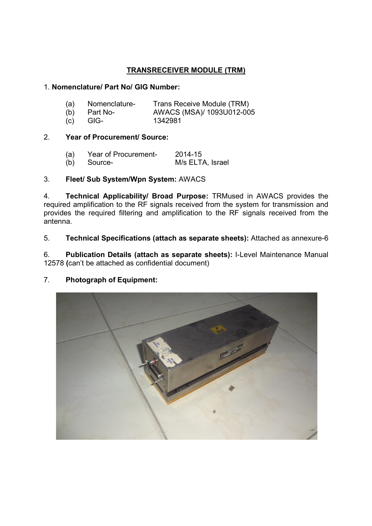# TRANSRECEIVER MODULE (TRM)

### 1. Nomenclature/ Part No/ GIG Number:

| (a) | Nomenclature- | Trans Receive Module (TRM) |
|-----|---------------|----------------------------|
|     |               |                            |

(b) Part No- AWACS (MSA)/ 1093U012-005<br>
(c) GIG- 1342981

(c) GIG- 1342981

## 2. Year of Procurement/ Source:

| (a) | Year of Procurement- | 2014-15          |
|-----|----------------------|------------------|
|     | (b) Source-          | M/s ELTA, Israel |

## 3. Fleet/ Sub System/Wpn System: AWACS

4. Technical Applicability/ Broad Purpose: TRMused in AWACS provides the required amplification to the RF signals received from the system for transmission and provides the required filtering and amplification to the RF signals received from the antenna.

5. Technical Specifications (attach as separate sheets): Attached as annexure-6

6. Publication Details (attach as separate sheets): I-Level Maintenance Manual 12578 (can't be attached as confidential document)

## 7. Photograph of Equipment:

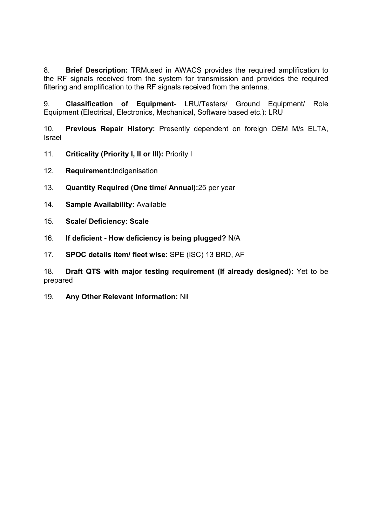8. Brief Description: TRMused in AWACS provides the required amplification to the RF signals received from the system for transmission and provides the required filtering and amplification to the RF signals received from the antenna.

9. Classification of Equipment- LRU/Testers/ Ground Equipment/ Role Equipment (Electrical, Electronics, Mechanical, Software based etc.): LRU

10. Previous Repair History: Presently dependent on foreign OEM M/s ELTA, Israel

- 11. Criticality (Priority I, II or III): Priority I
- 12. Requirement:Indigenisation
- 13. Quantity Required (One time/ Annual):25 per year
- 14. Sample Availability: Available
- 15. Scale/ Deficiency: Scale
- 16. If deficient How deficiency is being plugged? N/A
- 17. SPOC details item/ fleet wise: SPE (ISC) 13 BRD, AF

18. Draft QTS with major testing requirement (If already designed): Yet to be prepared

19. Any Other Relevant Information: Nil